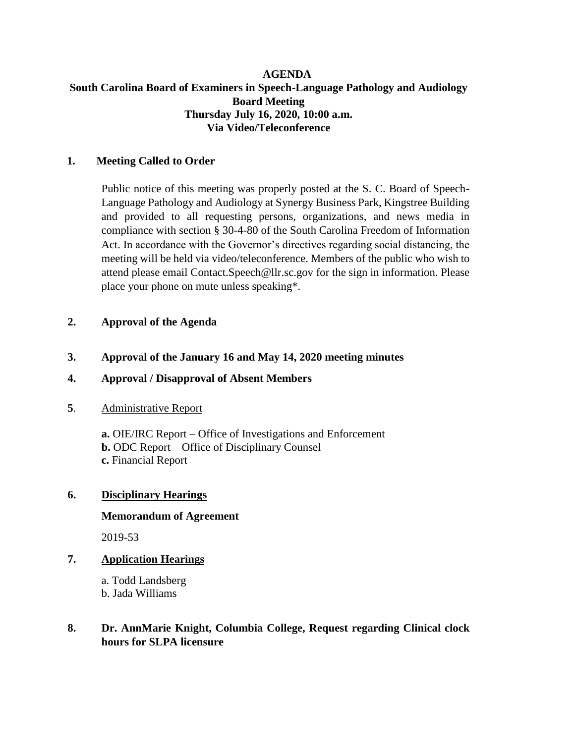### **AGENDA South Carolina Board of Examiners in Speech-Language Pathology and Audiology Board Meeting Thursday July 16, 2020, 10:00 a.m. Via Video/Teleconference**

### **1. Meeting Called to Order**

Public notice of this meeting was properly posted at the S. C. Board of Speech-Language Pathology and Audiology at Synergy Business Park, Kingstree Building and provided to all requesting persons, organizations, and news media in compliance with section § 30-4-80 of the South Carolina Freedom of Information Act. In accordance with the Governor's directives regarding social distancing, the meeting will be held via video/teleconference. Members of the public who wish to attend please email Contact.Speech@llr.sc.gov for the sign in information. Please place your phone on mute unless speaking\*.

### **2. Approval of the Agenda**

### **3. Approval of the January 16 and May 14, 2020 meeting minutes**

### **4. Approval / Disapproval of Absent Members**

### **5**. Administrative Report

**a.** OIE/IRC Report – Office of Investigations and Enforcement **b.** ODC Report – Office of Disciplinary Counsel **c.** Financial Report

### **6. Disciplinary Hearings**

#### **Memorandum of Agreement**

2019-53

## **7. Application Hearings**

a. Todd Landsberg b. Jada Williams

## **8. Dr. AnnMarie Knight, Columbia College, Request regarding Clinical clock hours for SLPA licensure**